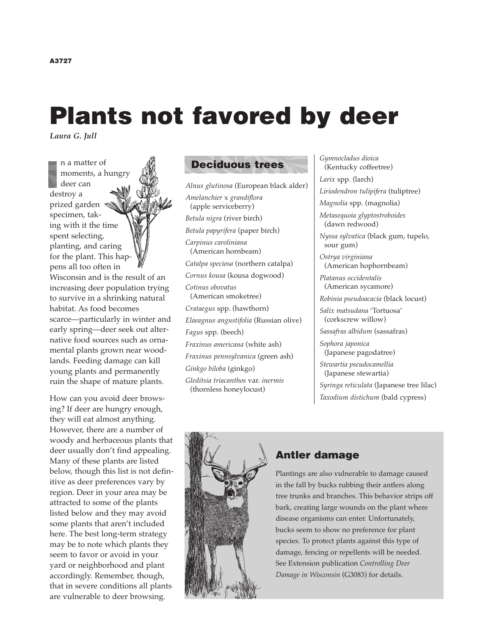# **Plants not favored by deer**

*Laura G. Jull*

n a matter of moments, a hungry deer can destroy a prized garden specimen, taking with it the time spent selecting, planting, and caring for the plant. This happens all too often in Wisconsin and is the result of an increasing deer population trying to survive in a shrinking natural habitat. As food becomes scarce—particularly in winter and early spring—deer seek out alternative food sources such as ornamental plants grown near woodlands. Feeding damage can kill young plants and permanently ruin the shape of mature plants.

How can you avoid deer browsing? If deer are hungry enough, they will eat almost anything. However, there are a number of woody and herbaceous plants that deer usually don't find appealing. Many of these plants are listed below, though this list is not definitive as deer preferences vary by region. Deer in your area may be attracted to some of the plants listed below and they may avoid some plants that aren't included here. The best long-term strategy may be to note which plants they seem to favor or avoid in your yard or neighborhood and plant accordingly. Remember, though, that in severe conditions all plants are vulnerable to deer browsing.

# **Deciduous trees**

*Alnus glutinosa* (European black alder) *Amelanchier* x *grandiflora* (apple serviceberry) *Betula nigra* (river birch) *Betula papyrifera* (paper birch) *Carpinus caroliniana* (American hornbeam) *Catalpa speciosa* (northern catalpa) *Cornus kousa* (kousa dogwood) *Cotinus obovatus* (American smoketree) *Crataegus* spp. (hawthorn) *Elaeagnus angustifolia* (Russian olive) *Fagus* spp. (beech) *Fraxinus americana* (white ash) *Fraxinus pennsylvanica* (green ash) *Ginkgo biloba* (ginkgo) *Gleditsia triacanthos* var. *inermis* (thornless honeylocust)

*Gymnocladus dioica* (Kentucky coffeetree) *Larix* spp. (larch)

*Liriodendron tulipifera* (tuliptree) *Magnolia* spp. (magnolia) *Metasequoia glyptostroboides* (dawn redwood) *Nyssa sylvatica* (black gum, tupelo, sour gum) *Ostrya virginiana* (American hophornbeam) *Platanus occidentalis* (American sycamore) *Robinia pseudoacacia* (black locust) *Salix matsudana* 'Tortuosa' (corkscrew willow) *Sassafras albidum* (sassafras) *Sophora japonica*  (Japanese pagodatree) *Stewartia pseudocamellia*  (Japanese stewartia) *Syringa reticulata* (Japanese tree lilac) *Taxodium distichum* (bald cypress)



# **Antler damage**

Plantings are also vulnerable to damage caused in the fall by bucks rubbing their antlers along tree trunks and branches. This behavior strips off bark, creating large wounds on the plant where disease organisms can enter. Unfortunately, bucks seem to show no preference for plant species. To protect plants against this type of damage, fencing or repellents will be needed. See Extension publication *Controlling Deer Damage in Wisconsin* (G3083) for details.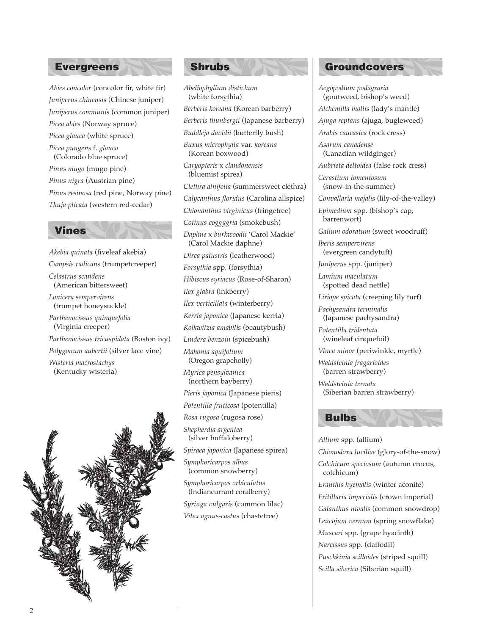### **Evergreens Shrubs**

*Abies concolor* (concolor fir, white fir) *Juniperus chinensis* (Chinese juniper) *Juniperus communis* (common juniper) *Picea abies* (Norway spruce) *Picea glauca* (white spruce) *Picea pungens* f. *glauca* (Colorado blue spruce) *Pinus mugo* (mugo pine) *Pinus nigra* (Austrian pine) *Pinus resinosa* (red pine, Norway pine) *Thuja plicata* (western red-cedar)

#### **Vines**

*Akebia quinata* (fiveleaf akebia) *Campsis radicans* (trumpetcreeper) *Celastrus scandens* (American bittersweet) *Lonicera sempervirens* (trumpet honeysuckle) *Parthenocissus quinquefolia* (Virginia creeper) *Parthenocissus tricuspidata* (Boston ivy) *Polygonum aubertii* (silver lace vine) *Wisteria macrostachys* (Kentucky wisteria)



*Abeliophyllum distichum*  (white forsythia) *Berberis koreana* (Korean barberry) *Berberis thunbergii* (Japanese barberry) *Buddleja davidii* (butterfly bush) *Buxus microphylla* var. *koreana* (Korean boxwood) *Caryopteris* x *clandonensis* (bluemist spirea) *Clethra alnifolia* (summersweet clethra) *Calycanthus floridus* (Carolina allspice) *Chionanthus virginicus* (fringetree) *Cotinus coggygria* (smokebush) *Daphne* x *burkwoodii* 'Carol Mackie' (Carol Mackie daphne) *Dirca palustris* (leatherwood) *Forsythia* spp. (forsythia) *Hibiscus syriacus* (Rose-of-Sharon) *Ilex glabra* (inkberry) *Ilex verticillata* (winterberry) *Kerria japonica* (Japanese kerria) *Kolkwitzia amabilis* (beautybush) *Lindera benzoin* (spicebush) *Mahonia aquifolium* (Oregon grapeholly) *Myrica pensylvanica*  (northern bayberry) *Pieris japonica* (Japanese pieris) *Potentilla fruticosa* (potentilla) *Rosa rugosa* (rugosa rose) *Shepherdia argentea* (silver buffaloberry) *Spiraea japonica* (Japanese spirea) *Symphoricarpos albus*  (common snowberry) *Symphoricarpos orbiculatus* (Indiancurrant coralberry) *Syringa vulgaris* (common lilac) *Vitex agnus-castus* (chastetree)

#### **Groundcovers**

*Aegopodium podagraria* (goutweed, bishop's weed) *Alchemilla mollis* (lady's mantle) *Ajuga reptans* (ajuga, bugleweed) *Arabis caucasica* (rock cress) *Asarum canadense* (Canadian wildginger) *Aubrieta deltoidea* (false rock cress) *Cerastium tomentosum* (snow-in-the-summer) *Convallaria majalis* (lily-of-the-valley) *Epimedium* spp. (bishop's cap, barrenwort) *Galium odoratum* (sweet woodruff) *Iberis sempervirens* (evergreen candytuft) *Juniperus* spp. (juniper) *Lamium maculatum* (spotted dead nettle) *Liriope spicata* (creeping lily turf) *Pachysandra terminalis*  (Japanese pachysandra) *Potentilla tridentata* (wineleaf cinquefoil) *Vinca minor* (periwinkle, myrtle) *Waldsteinia fragarioides* (barren strawberry) *Waldsteinia ternata* (Siberian barren strawberry)



*Allium* spp. (allium) *Chionodoxa luciliae* (glory-of-the-snow) *Colchicum speciosum* (autumn crocus, colchicum) *Eranthis hyemalis* (winter aconite) *Fritillaria imperialis* (crown imperial) *Galanthus nivalis* (common snowdrop) *Leucojum vernum* (spring snowflake) *Muscari* spp. (grape hyacinth) *Narcissus* spp. (daffodil) *Puschkinia scilloides* (striped squill) *Scilla siberica* (Siberian squill)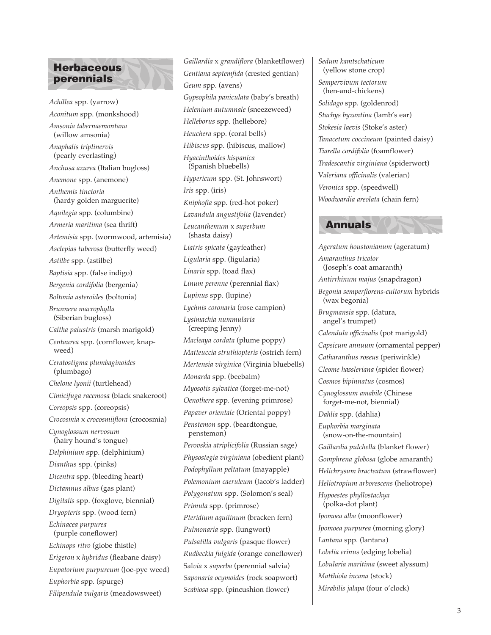# **Herbaceous perennials**

*Achillea* spp*.* (yarrow) *Aconitum* spp. (monkshood) *Amsonia tabernaemontana* (willow amsonia) *Anaphalis triplinervis* (pearly everlasting) *Anchusa azurea* (Italian bugloss) *Anemone* spp. (anemone) *Anthemis tinctoria* (hardy golden marguerite) *Aquilegia* spp. (columbine) *Armeria maritima* (sea thrift) *Artemisia* spp. (wormwood, artemisia) *Asclepias tuberosa* (butterfly weed) *Astilbe* spp. (astilbe) *Baptisia* spp. (false indigo) *Bergenia cordifolia* (bergenia) *Boltonia asteroides* (boltonia) *Brunnera macrophylla*  (Siberian bugloss) *Caltha palustris* (marsh marigold) *Centaurea* spp. (cornflower, knapweed) *Ceratostigma plumbaginoides* (plumbago) *Chelone lyonii* (turtlehead) *Cimicifuga racemosa* (black snakeroot) *Coreopsis* spp. (coreopsis) *Crocosmia* x *crocosmiiflora* (crocosmia) *Cynoglossum nervosum* (hairy hound's tongue) *Delphinium* spp. (delphinium) *Dianthus* spp. (pinks) *Dicentra* spp. (bleeding heart) *Dictamnus albus* (gas plant) *Digitalis* spp. (foxglove, biennial) *Dryopteris* spp. (wood fern) *Echinacea purpurea* (purple coneflower) *Echinops ritro* (globe thistle) *Erigeron* x *hybridus* (fleabane daisy) *Eupatorium purpureum* (Joe-pye weed) *Euphorbia* spp. (spurge) *Filipendula vulgaris* (meadowsweet)

*Gaillardia* x *grandiflora* (blanketflower) *Gentiana septemfida* (crested gentian) *Geum* spp. (avens) *Gypsophila paniculata* (baby's breath) *Helenium autumnale* (sneezeweed) *Helleborus* spp. (hellebore) *Heuchera* spp. (coral bells) *Hibiscus* spp. (hibiscus, mallow) *Hyacinthoides hispanica*  (Spanish bluebells) *Hypericum* spp. (St. Johnswort) *Iris* spp. (iris) *Kniphofia* spp. (red-hot poker) *Lavandula angustifolia* (lavender) *Leucanthemum* x *superbum* (shasta daisy) *Liatris spicata* (gayfeather) *Ligularia* spp. (ligularia) *Linaria* spp. (toad flax) *Linum perenne* (perennial flax) *Lupinus* spp. (lupine) *Lychnis coronaria* (rose campion) *Lysimachia nummularia*  (creeping Jenny) *Macleaya cordata* (plume poppy) *Matteuccia struthiopteris* (ostrich fern) *Mertensia virginica* (Virginia bluebells) *Monarda* spp. (beebalm) *Myosotis sylvatica* (forget-me-not) *Oenothera* spp. (evening primrose) *Papaver orientale* (Oriental poppy) *Penstemon* spp. (beardtongue, penstemon) *Perovskia atriplicifolia* (Russian sage) *Physostegia virginiana* (obedient plant) *Podophyllum peltatum* (mayapple) *Polemonium caeruleum* (Jacob's ladder) *Polygonatum* spp. (Solomon's seal) *Primula* spp. (primrose) *Pteridium aquilinum* (bracken fern) *Pulmonaria* spp. (lungwort) *Pulsatilla vulgaris* (pasque flower) *Rudbeckia fulgida* (orange coneflower) Sal*via* x *superba* (perennial salvia) *Saponaria ocymoides* (rock soapwort) *Scabiosa* spp. (pincushion flower)

*Sedum kamtschaticum* (yellow stone crop) *Sempervivum tectorum*  (hen-and-chickens) *Solidago* spp. (goldenrod) *Stachys byzantina* (lamb's ear) *Stokesia laevis* (Stoke's aster) *Tanacetum coccineum* (painted daisy) *Tiarella cordifolia* (foamflower) *Tradescantia virginiana* (spiderwort) V*aleriana officinalis* (valerian) *Veronica* spp. (speedwell) *Woodwardia areolata* (chain fern)

#### **Annuals**

*Ageratum houstonianum* (ageratum) *Amaranthus tricolor*  (Joseph's coat amaranth) *Antirrhinum majus* (snapdragon) *Begonia semperflorens-cultorum* hybrids (wax begonia) *Brugmansia* spp. (datura, angel's trumpet) *Calendula officinalis* (pot marigold) *Capsicum annuum* (ornamental pepper) *Catharanthus roseus* (periwinkle) *Cleome hassleriana* (spider flower) *Cosmos bipinnatus* (cosmos) *Cynoglossum amabile* (Chinese forget-me-not, biennial) *Dahlia* spp. (dahlia) *Euphorbia marginata*  (snow-on-the-mountain) *Gaillardia pulchella* (blanket flower) *Gomphrena globosa* (globe amaranth) *Helichrysum bracteatum* (strawflower) *Heliotropium arborescens* (heliotrope) *Hypoestes phyllostachya*  (polka-dot plant) *Ipomoea alba* (moonflower) *Ipomoea purpurea* (morning glory) *Lantana* spp. (lantana) *Lobelia erinus* (edging lobelia) *Lobularia maritima* (sweet alyssum) *Matthiola incana* (stock) *Mirabilis jalapa* (four o'clock)